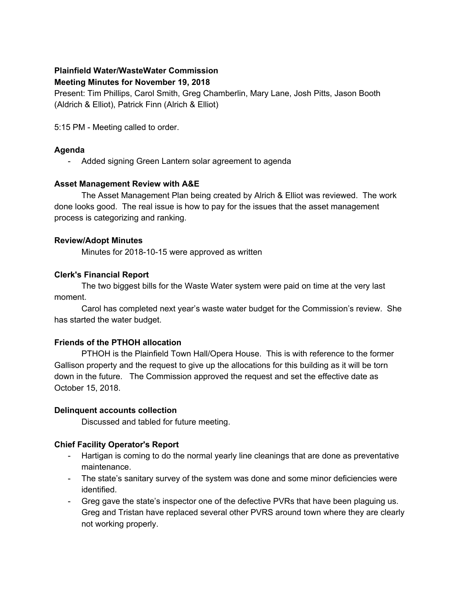# **Plainfield Water/WasteWater Commission**

#### **Meeting Minutes for November 19, 2018**

Present: Tim Phillips, Carol Smith, Greg Chamberlin, Mary Lane, Josh Pitts, Jason Booth (Aldrich & Elliot), Patrick Finn (Alrich & Elliot)

5:15 PM - Meeting called to order.

# **Agenda**

- Added signing Green Lantern solar agreement to agenda

# **Asset Management Review with A&E**

The Asset Management Plan being created by Alrich & Elliot was reviewed. The work done looks good. The real issue is how to pay for the issues that the asset management process is categorizing and ranking.

#### **Review/Adopt Minutes**

Minutes for 2018-10-15 were approved as written

# **Clerk's Financial Report**

The two biggest bills for the Waste Water system were paid on time at the very last moment.

Carol has completed next year's waste water budget for the Commission's review. She has started the water budget.

#### **Friends of the PTHOH allocation**

PTHOH is the Plainfield Town Hall/Opera House. This is with reference to the former Gallison property and the request to give up the allocations for this building as it will be torn down in the future. The Commission approved the request and set the effective date as October 15, 2018.

#### **Delinquent accounts collection**

Discussed and tabled for future meeting.

# **Chief Facility Operator's Report**

- Hartigan is coming to do the normal yearly line cleanings that are done as preventative maintenance.
- The state's sanitary survey of the system was done and some minor deficiencies were identified.
- Greg gave the state's inspector one of the defective PVRs that have been plaguing us. Greg and Tristan have replaced several other PVRS around town where they are clearly not working properly.